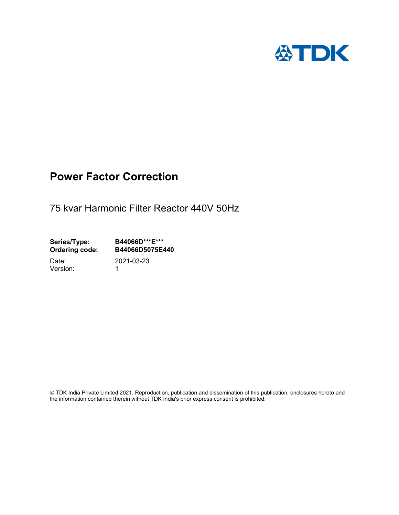

# Power Factor Correction

75 kvar Harmonic Filter Reactor 440V 50Hz

Series/Type: B44066D\*\*\*E\*\*\*<br>Ordering code: B44066D5075E4 B44066D5075E440

Version: 1

Date: 2021-03-23

 TDK India Private Limited 2021. Reproduction, publication and dissemination of this publication, enclosures hereto and the information contained therein without TDK India's prior express consent is prohibited.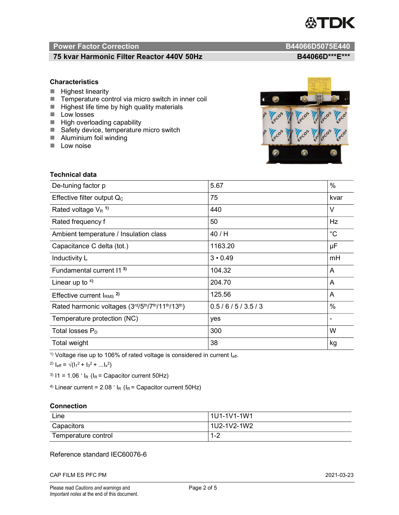

# Power Factor Correction and Content of the Content of the B44066D5075E440

# 75 kvar Harmonic Filter Reactor 440V 50Hz BA4060 B44066D\*\*\*E\*\*\*

### **Characteristics**

- $H$  Highest linearity
- Temperature control via micro switch in inner coil
- $\blacksquare$  Highest life time by high quality materials
- **Low** losses
- $\blacksquare$  High overloading capability
- Safety device, temperature micro switch
- **Aluminium foil winding**
- **Low noise**

Technical data



| De-tuning factor p                              | 5.67           | $\%$           |
|-------------------------------------------------|----------------|----------------|
| Effective filter output $Q_C$                   | 75             | kvar           |
| Rated voltage $V_R$ <sup>1)</sup>               | 440            | V              |
| Rated frequency f                               | 50             | <b>Hz</b>      |
| Ambient temperature / Insulation class          | 40 / H         | $^{\circ}C$    |
| Capacitance C delta (tot.)                      | 1163.20        | μF             |
| Inductivity L                                   | $3 \cdot 0.49$ | mH             |
| Fundamental current 11 <sup>3)</sup>            | 104.32         | A              |
| Linear up to $4$ )                              | 204.70         | A              |
| Effective current $IRMS$ <sup>2)</sup>          | 125.56         | A              |
| Rated harmonic voltages (3rd/5th/7th/11th/13th) | 0.5/6/5/3.5/3  | $\%$           |
| Temperature protection (NC)                     | yes            | $\blacksquare$ |
| Total losses $P_D$                              | 300            | W              |
| Total weight                                    | 38             | kg             |

<sup>1)</sup> Voltage rise up to 106% of rated voltage is considered in current  $I_{\text{eff}}$ .

<sup>2)</sup>  $I_{eff} = \sqrt{(I_1^2 + I_3^2 + ... I_x^2)}$ 

<sup>3)</sup>  $11 = 1.06$   $\cdot$   $I_R$  ( $I_R$  = Capacitor current 50Hz)

<sup>4)</sup> Linear current =  $2.08$   $\cdot$  I<sub>R</sub> (I<sub>R</sub> = Capacitor current 50Hz)

#### **Connection**

| Line                | 1U1-1V1-1W1   |
|---------------------|---------------|
| Capacitors          | l 1U2-1V2-1W2 |
| Temperature control | 1 O<br>ے- ا   |

# Reference standard IEC60076-6

CAP FILM ES PFC PM 2021-03-23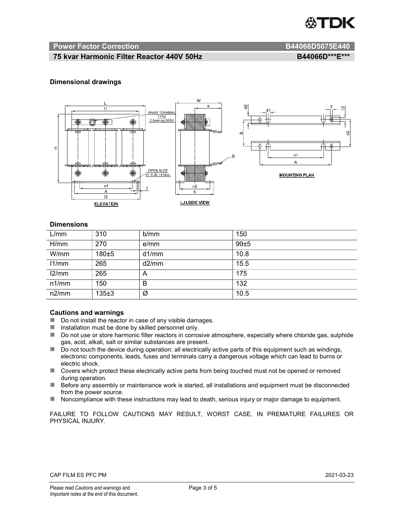

#### Power Factor Correction and B44066D5075E440

# 75 kvar Harmonic Filter Reactor 440V 50Hz B44066D\*\*\*E\*\*\*

#### Dimensional drawings



#### **Dimensions**

| L/mm  | 310     | b/mm  | 150  |
|-------|---------|-------|------|
| H/mm  | 270     | e/mm  | 99±5 |
| W/mm  | 180±5   | d1/mm | 10.8 |
| 11/mm | 265     | d2/mm | 15.5 |
| 12/mm | 265     | A     | 175  |
| n1/mm | 150     | В     | 132  |
| n2/mm | $135+3$ | Ø     | 10.5 |

#### Cautions and warnings

- Do not install the reactor in case of any visible damages.
- Installation must be done by skilled personnel only.
- Do not use or store harmonic filter reactors in corrosive atmosphere, especially where chloride gas, sulphide gas, acid, alkali, salt or similar substances are present.
- Do not touch the device during operation: all electrically active parts of this equipment such as windings, electronic components, leads, fuses and terminals carry a dangerous voltage which can lead to burns or electric shock.
- Covers which protect these electrically active parts from being touched must not be opened or removed during operation.
- Before any assembly or maintenance work is started, all installations and equipment must be disconnected from the power source.
- Noncompliance with these instructions may lead to death, serious injury or major damage to equipment.

FAILURE TO FOLLOW CAUTIONS MAY RESULT, WORST CASE, IN PREMATURE FAILURES OR PHYSICAL INJURY.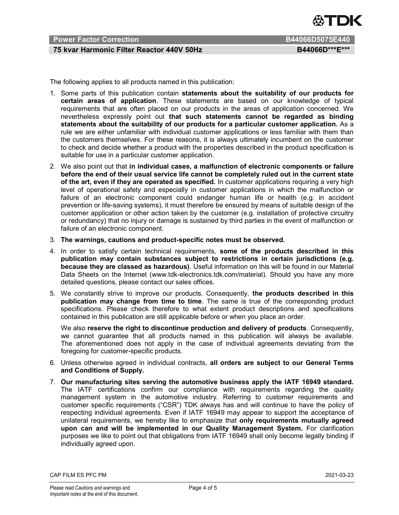

# Power Factor Correction **B44066D5075E440**

## 75 kvar Harmonic Filter Reactor 440V 50Hz BA4066D\*\*\*E\*\*\*

The following applies to all products named in this publication:

- 1. Some parts of this publication contain statements about the suitability of our products for certain areas of application. These statements are based on our knowledge of typical requirements that are often placed on our products in the areas of application concerned. We nevertheless expressly point out that such statements cannot be regarded as binding statements about the suitability of our products for a particular customer application. As a rule we are either unfamiliar with individual customer applications or less familiar with them than the customers themselves. For these reasons, it is always ultimately incumbent on the customer to check and decide whether a product with the properties described in the product specification is suitable for use in a particular customer application.
- 2. We also point out that in individual cases, a malfunction of electronic components or failure before the end of their usual service life cannot be completely ruled out in the current state of the art, even if they are operated as specified. In customer applications requiring a very high level of operational safety and especially in customer applications in which the malfunction or failure of an electronic component could endanger human life or health (e.g. in accident prevention or life-saving systems), it must therefore be ensured by means of suitable design of the customer application or other action taken by the customer (e.g. installation of protective circuitry or redundancy) that no injury or damage is sustained by third parties in the event of malfunction or failure of an electronic component.
- 3. The warnings, cautions and product-specific notes must be observed.
- 4. In order to satisfy certain technical requirements, some of the products described in this publication may contain substances subject to restrictions in certain jurisdictions (e.g. because they are classed as hazardous). Useful information on this will be found in our Material Data Sheets on the Internet (www.tdk-electronics.tdk.com/material). Should you have any more detailed questions, please contact our sales offices.
- 5. We constantly strive to improve our products. Consequently, the products described in this publication may change from time to time. The same is true of the corresponding product specifications. Please check therefore to what extent product descriptions and specifications contained in this publication are still applicable before or when you place an order.

We also reserve the right to discontinue production and delivery of products. Consequently, we cannot guarantee that all products named in this publication will always be available. The aforementioned does not apply in the case of individual agreements deviating from the foregoing for customer-specific products.

- 6. Unless otherwise agreed in individual contracts, all orders are subject to our General Terms and Conditions of Supply.
- 7. Our manufacturing sites serving the automotive business apply the IATF 16949 standard. The IATF certifications confirm our compliance with requirements regarding the quality management system in the automotive industry. Referring to customer requirements and customer specific requirements ("CSR") TDK always has and will continue to have the policy of respecting individual agreements. Even if IATF 16949 may appear to support the acceptance of unilateral requirements, we hereby like to emphasize that only requirements mutually agreed upon can and will be implemented in our Quality Management System. For clarification purposes we like to point out that obligations from IATF 16949 shall only become legally binding if individually agreed upon.